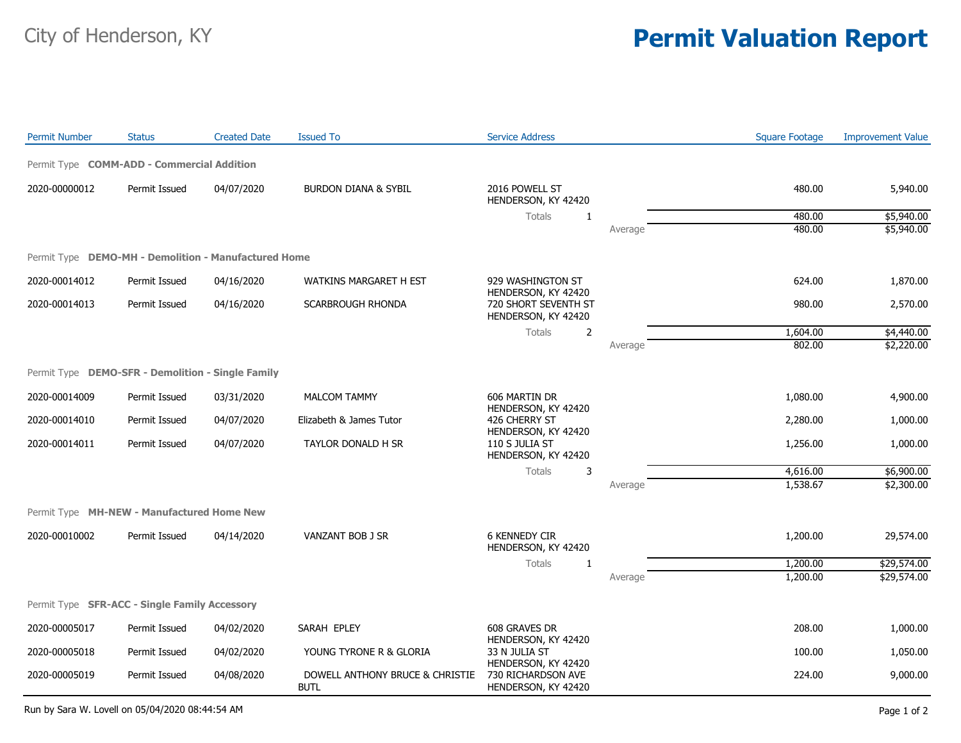## City of Henderson, KY **Permit Valuation Report**

| <b>Permit Number</b>                                 | <b>Status</b> | <b>Created Date</b> | <b>Issued To</b>                               | <b>Service Address</b>                                                                                                    |         | <b>Square Footage</b> | <b>Improvement Value</b> |
|------------------------------------------------------|---------------|---------------------|------------------------------------------------|---------------------------------------------------------------------------------------------------------------------------|---------|-----------------------|--------------------------|
| Permit Type COMM-ADD - Commercial Addition           |               |                     |                                                |                                                                                                                           |         |                       |                          |
| 2020-00000012                                        | Permit Issued | 04/07/2020          | <b>BURDON DIANA &amp; SYBIL</b>                | 2016 POWELL ST<br>HENDERSON, KY 42420                                                                                     |         | 480.00                | 5,940.00                 |
|                                                      |               |                     |                                                | <b>Totals</b><br>1                                                                                                        |         | 480.00                | \$5,940.00               |
|                                                      |               |                     |                                                |                                                                                                                           | Average | 480.00                | \$5,940.00               |
| Permit Type DEMO-MH - Demolition - Manufactured Home |               |                     |                                                |                                                                                                                           |         |                       |                          |
| 2020-00014012                                        | Permit Issued | 04/16/2020          | WATKINS MARGARET H EST                         | 929 WASHINGTON ST<br>HENDERSON, KY 42420<br>720 SHORT SEVENTH ST<br>HENDERSON, KY 42420                                   |         | 624.00                | 1,870.00                 |
| 2020-00014013                                        | Permit Issued | 04/16/2020          | SCARBROUGH RHONDA                              |                                                                                                                           |         | 980.00                | 2,570.00                 |
|                                                      |               |                     |                                                | <b>Totals</b><br>$\overline{2}$                                                                                           |         | 1,604.00              | \$4,440.00               |
|                                                      |               |                     |                                                |                                                                                                                           | Average | 802.00                | \$2,220.00               |
| Permit Type DEMO-SFR - Demolition - Single Family    |               |                     |                                                |                                                                                                                           |         |                       |                          |
| 2020-00014009                                        | Permit Issued | 03/31/2020          | <b>MALCOM TAMMY</b>                            | 606 MARTIN DR<br>HENDERSON, KY 42420<br>426 CHERRY ST<br>HENDERSON, KY 42420<br>110 S JULIA ST<br>HENDERSON, KY 42420     |         | 1,080.00              | 4,900.00                 |
| 2020-00014010                                        | Permit Issued | 04/07/2020          | Elizabeth & James Tutor                        |                                                                                                                           |         | 2,280.00              | 1,000.00                 |
| 2020-00014011                                        | Permit Issued | 04/07/2020          | TAYLOR DONALD H SR                             |                                                                                                                           |         | 1,256.00              | 1,000.00                 |
|                                                      |               |                     |                                                | Totals<br>3                                                                                                               |         | 4,616.00              | \$6,900.00               |
|                                                      |               |                     |                                                |                                                                                                                           | Average | 1,538.67              | \$2,300.00               |
| Permit Type MH-NEW - Manufactured Home New           |               |                     |                                                |                                                                                                                           |         |                       |                          |
| 2020-00010002                                        | Permit Issued | 04/14/2020          | VANZANT BOB J SR                               | <b>6 KENNEDY CIR</b><br>HENDERSON, KY 42420                                                                               |         | 1,200.00              | 29,574.00                |
|                                                      |               |                     |                                                | <b>Totals</b><br>1                                                                                                        |         | 1,200.00              | \$29,574.00              |
|                                                      |               |                     |                                                |                                                                                                                           | Average | 1,200.00              | \$29,574.00              |
| Permit Type SFR-ACC - Single Family Accessory        |               |                     |                                                |                                                                                                                           |         |                       |                          |
| 2020-00005017                                        | Permit Issued | 04/02/2020          | SARAH EPLEY                                    | 608 GRAVES DR<br>HENDERSON, KY 42420<br>33 N JULIA ST<br>HENDERSON, KY 42420<br>730 RICHARDSON AVE<br>HENDERSON, KY 42420 |         | 208.00                | 1,000.00                 |
| 2020-00005018                                        | Permit Issued | 04/02/2020          | YOUNG TYRONE R & GLORIA                        |                                                                                                                           |         | 100.00                | 1,050.00                 |
| 2020-00005019                                        | Permit Issued | 04/08/2020          | DOWELL ANTHONY BRUCE & CHRISTIE<br><b>BUTL</b> |                                                                                                                           |         | 224.00                | 9,000.00                 |

Run by Sara W. Lovell on 05/04/2020 08:44:54 AM Page 1 of 2